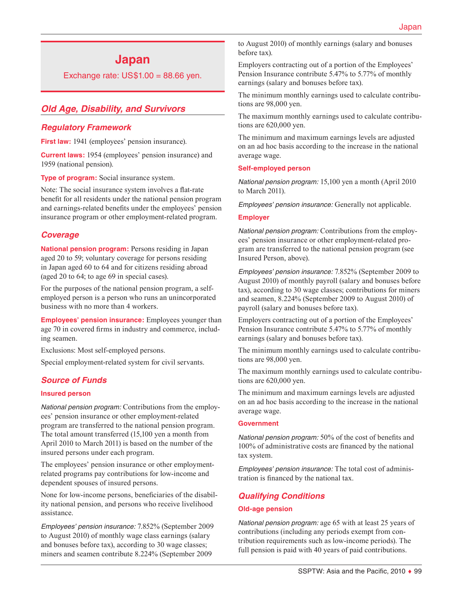# **Japan**

Exchange rate:  $US$1.00 = 88.66$  yen.

# *Old Age, Disability, and Survivors*

### *Regulatory Framework*

**First law:** 1941 (employees' pension insurance).

**Current laws:** 1954 (employees' pension insurance) and 1959 (national pension).

**Type of program:** Social insurance system.

Note: The social insurance system involves a flat-rate benefit for all residents under the national pension program and earnings-related benefits under the employees' pension insurance program or other employment-related program.

### *Coverage*

**National pension program:** Persons residing in Japan aged 20 to 59; voluntary coverage for persons residing in Japan aged 60 to 64 and for citizens residing abroad (aged 20 to 64; to age 69 in special cases).

For the purposes of the national pension program, a selfemployed person is a person who runs an unincorporated business with no more than 4 workers.

**Employees' pension insurance:** Employees younger than age 70 in covered firms in industry and commerce, including seamen.

Exclusions: Most self-employed persons.

Special employment-related system for civil servants.

### *Source of Funds*

#### **Insured person**

*National pension program:* Contributions from the employees' pension insurance or other employment-related program are transferred to the national pension program. The total amount transferred (15,100 yen a month from April 2010 to March 2011) is based on the number of the insured persons under each program.

The employees' pension insurance or other employmentrelated programs pay contributions for low-income and dependent spouses of insured persons.

None for low-income persons, beneficiaries of the disability national pension, and persons who receive livelihood assistance.

*Employees' pension insurance:* 7.852% (September 2009 to August 2010) of monthly wage class earnings (salary and bonuses before tax), according to 30 wage classes; miners and seamen contribute 8.224% (September 2009

to August 2010) of monthly earnings (salary and bonuses before tax).

Employers contracting out of a portion of the Employees' Pension Insurance contribute 5.47% to 5.77% of monthly earnings (salary and bonuses before tax).

The minimum monthly earnings used to calculate contributions are 98,000 yen.

The maximum monthly earnings used to calculate contributions are 620,000 yen.

The minimum and maximum earnings levels are adjusted on an ad hoc basis according to the increase in the national average wage.

#### **Self-employed person**

*National pension program:* 15,100 yen a month (April 2010 to March 2011).

*Employees' pension insurance:* Generally not applicable.

#### **Employer**

*National pension program:* Contributions from the employees' pension insurance or other employment-related program are transferred to the national pension program (see Insured Person, above).

*Employees' pension insurance:* 7.852% (September 2009 to August 2010) of monthly payroll (salary and bonuses before tax), according to 30 wage classes; contributions for miners and seamen, 8.224% (September 2009 to August 2010) of payroll (salary and bonuses before tax).

Employers contracting out of a portion of the Employees' Pension Insurance contribute 5.47% to 5.77% of monthly earnings (salary and bonuses before tax).

The minimum monthly earnings used to calculate contributions are 98,000 yen.

The maximum monthly earnings used to calculate contributions are 620,000 yen.

The minimum and maximum earnings levels are adjusted on an ad hoc basis according to the increase in the national average wage.

#### **Government**

*National pension program:* 50% of the cost of benefits and 100% of administrative costs are financed by the national tax system.

*Employees' pension insurance:* The total cost of administration is financed by the national tax.

# *Qualifying Conditions*

#### **Old-age pension**

*National pension program:* age 65 with at least 25 years of contributions (including any periods exempt from contribution requirements such as low-income periods). The full pension is paid with 40 years of paid contributions.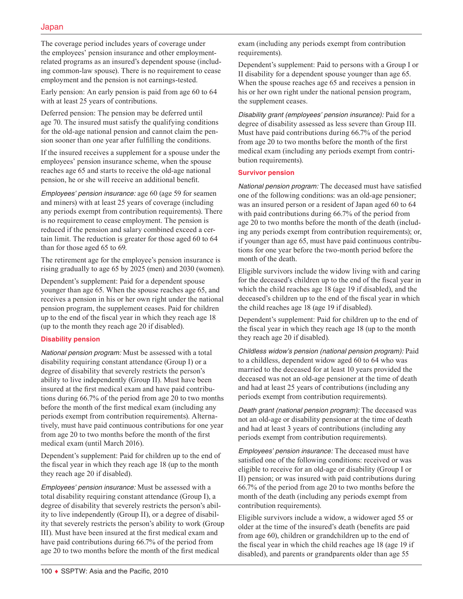The coverage period includes years of coverage under the employees' pension insurance and other employmentrelated programs as an insured's dependent spouse (including common-law spouse). There is no requirement to cease employment and the pension is not earnings-tested.

Early pension: An early pension is paid from age 60 to 64 with at least 25 years of contributions.

Deferred pension: The pension may be deferred until age 70. The insured must satisfy the qualifying conditions for the old-age national pension and cannot claim the pension sooner than one year after fulfilling the conditions.

If the insured receives a supplement for a spouse under the employees' pension insurance scheme, when the spouse reaches age 65 and starts to receive the old-age national pension, he or she will receive an additional benefit.

*Employees' pension insurance:* age 60 (age 59 for seamen and miners) with at least 25 years of coverage (including any periods exempt from contribution requirements). There is no requirement to cease employment. The pension is reduced if the pension and salary combined exceed a certain limit. The reduction is greater for those aged 60 to 64 than for those aged 65 to 69.

The retirement age for the employee's pension insurance is rising gradually to age 65 by 2025 (men) and 2030 (women).

Dependent's supplement: Paid for a dependent spouse younger than age 65. When the spouse reaches age 65, and receives a pension in his or her own right under the national pension program, the supplement ceases. Paid for children up to the end of the fiscal year in which they reach age 18 (up to the month they reach age 20 if disabled).

### **Disability pension**

*National pension program:* Must be assessed with a total disability requiring constant attendance (Group I) or a degree of disability that severely restricts the person's ability to live independently (Group II). Must have been insured at the first medical exam and have paid contributions during 66.7% of the period from age 20 to two months before the month of the first medical exam (including any periods exempt from contribution requirements). Alternatively, must have paid continuous contributions for one year from age 20 to two months before the month of the first medical exam (until March 2016).

Dependent's supplement: Paid for children up to the end of the fiscal year in which they reach age 18 (up to the month they reach age 20 if disabled).

*Employees' pension insurance:* Must be assessed with a total disability requiring constant attendance (Group I), a degree of disability that severely restricts the person's ability to live independently (Group II), or a degree of disability that severely restricts the person's ability to work (Group III). Must have been insured at the first medical exam and have paid contributions during 66.7% of the period from age 20 to two months before the month of the first medical

exam (including any periods exempt from contribution requirements).

Dependent's supplement: Paid to persons with a Group I or II disability for a dependent spouse younger than age 65. When the spouse reaches age 65 and receives a pension in his or her own right under the national pension program, the supplement ceases.

*Disability grant (employees' pension insurance):* Paid for a degree of disability assessed as less severe than Group III. Must have paid contributions during 66.7% of the period from age 20 to two months before the month of the first medical exam (including any periods exempt from contribution requirements).

### **Survivor pension**

*National pension program:* The deceased must have satisfied one of the following conditions: was an old-age pensioner; was an insured person or a resident of Japan aged 60 to 64 with paid contributions during 66.7% of the period from age 20 to two months before the month of the death (including any periods exempt from contribution requirements); or, if younger than age 65, must have paid continuous contributions for one year before the two-month period before the month of the death.

Eligible survivors include the widow living with and caring for the deceased's children up to the end of the fiscal year in which the child reaches age 18 (age 19 if disabled), and the deceased's children up to the end of the fiscal year in which the child reaches age 18 (age 19 if disabled).

Dependent's supplement: Paid for children up to the end of the fiscal year in which they reach age 18 (up to the month they reach age 20 if disabled).

*Childless widow's pension (national pension program):* Paid to a childless, dependent widow aged 60 to 64 who was married to the deceased for at least 10 years provided the deceased was not an old-age pensioner at the time of death and had at least 25 years of contributions (including any periods exempt from contribution requirements).

*Death grant (national pension program):* The deceased was not an old-age or disability pensioner at the time of death and had at least 3 years of contributions (including any periods exempt from contribution requirements).

*Employees' pension insurance:* The deceased must have satisfied one of the following conditions: received or was eligible to receive for an old-age or disability (Group I or II) pension; or was insured with paid contributions during 66.7% of the period from age 20 to two months before the month of the death (including any periods exempt from contribution requirements).

Eligible survivors include a widow, a widower aged 55 or older at the time of the insured's death (benefits are paid from age 60), children or grandchildren up to the end of the fiscal year in which the child reaches age 18 (age 19 if disabled), and parents or grandparents older than age 55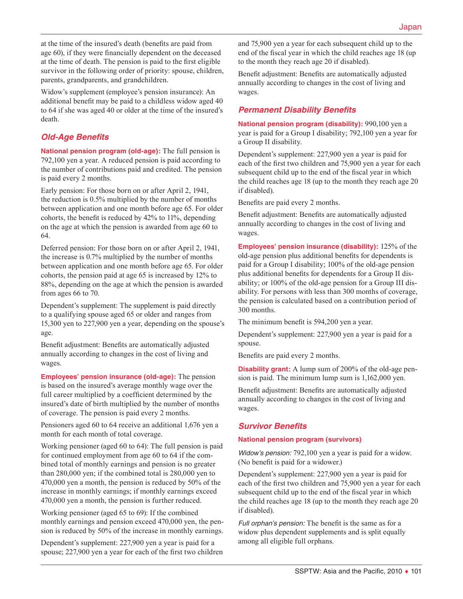at the time of the insured's death (benefits are paid from age 60), if they were financially dependent on the deceased at the time of death. The pension is paid to the first eligible survivor in the following order of priority: spouse, children, parents, grandparents, and grandchildren.

Widow's supplement (employee's pension insurance): An additional benefit may be paid to a childless widow aged 40 to 64 if she was aged 40 or older at the time of the insured's death.

# *Old-Age Benefits*

**National pension program (old-age):** The full pension is 792,100 yen a year. A reduced pension is paid according to the number of contributions paid and credited. The pension is paid every 2 months.

Early pension: For those born on or after April 2, 1941, the reduction is 0.5% multiplied by the number of months between application and one month before age 65. For older cohorts, the benefit is reduced by 42% to 11%, depending on the age at which the pension is awarded from age 60 to 64.

Deferred pension: For those born on or after April 2, 1941, the increase is 0.7% multiplied by the number of months between application and one month before age 65. For older cohorts, the pension paid at age 65 is increased by 12% to 88%, depending on the age at which the pension is awarded from ages 66 to 70.

Dependent's supplement: The supplement is paid directly to a qualifying spouse aged 65 or older and ranges from 15,300 yen to 227,900 yen a year, depending on the spouse's age.

Benefit adjustment: Benefits are automatically adjusted annually according to changes in the cost of living and wages.

**Employees' pension insurance (old-age):** The pension is based on the insured's average monthly wage over the full career multiplied by a coefficient determined by the insured's date of birth multiplied by the number of months of coverage. The pension is paid every 2 months.

Pensioners aged 60 to 64 receive an additional 1,676 yen a month for each month of total coverage.

Working pensioner (aged 60 to 64): The full pension is paid for continued employment from age 60 to 64 if the combined total of monthly earnings and pension is no greater than 280,000 yen; if the combined total is 280,000 yen to 470,000 yen a month, the pension is reduced by 50% of the increase in monthly earnings; if monthly earnings exceed 470,000 yen a month, the pension is further reduced.

Working pensioner (aged 65 to 69): If the combined monthly earnings and pension exceed 470,000 yen, the pension is reduced by 50% of the increase in monthly earnings.

Dependent's supplement: 227,900 yen a year is paid for a spouse; 227,900 yen a year for each of the first two children and 75,900 yen a year for each subsequent child up to the end of the fiscal year in which the child reaches age 18 (up to the month they reach age 20 if disabled).

Benefit adjustment: Benefits are automatically adjusted annually according to changes in the cost of living and wages.

# *Permanent Disability Benefits*

**National pension program (disability):** 990,100 yen a year is paid for a Group I disability; 792,100 yen a year for a Group II disability.

Dependent's supplement: 227,900 yen a year is paid for each of the first two children and 75,900 yen a year for each subsequent child up to the end of the fiscal year in which the child reaches age 18 (up to the month they reach age 20 if disabled).

Benefits are paid every 2 months.

Benefit adjustment: Benefits are automatically adjusted annually according to changes in the cost of living and wages.

**Employees' pension insurance (disability):** 125% of the old-age pension plus additional benefits for dependents is paid for a Group I disability; 100% of the old-age pension plus additional benefits for dependents for a Group II disability; or 100% of the old-age pension for a Group III disability. For persons with less than 300 months of coverage, the pension is calculated based on a contribution period of 300 months.

The minimum benefit is 594,200 yen a year.

Dependent's supplement: 227,900 yen a year is paid for a spouse.

Benefits are paid every 2 months.

**Disability grant:** A lump sum of 200% of the old-age pension is paid. The minimum lump sum is 1,162,000 yen.

Benefit adjustment: Benefits are automatically adjusted annually according to changes in the cost of living and wages.

# *Survivor Benefits*

### **National pension program (survivors)**

*Widow's pension:* 792,100 yen a year is paid for a widow. (No benefit is paid for a widower.)

Dependent's supplement: 227,900 yen a year is paid for each of the first two children and 75,900 yen a year for each subsequent child up to the end of the fiscal year in which the child reaches age 18 (up to the month they reach age 20 if disabled).

*Full orphan's pension:* The benefit is the same as for a widow plus dependent supplements and is split equally among all eligible full orphans.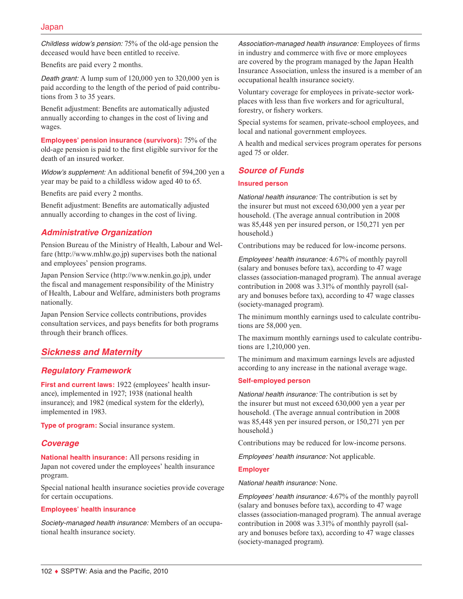*Childless widow's pension:* 75% of the old-age pension the deceased would have been entitled to receive.

Benefits are paid every 2 months.

*Death grant:* A lump sum of 120,000 yen to 320,000 yen is paid according to the length of the period of paid contributions from 3 to 35 years.

Benefit adjustment: Benefits are automatically adjusted annually according to changes in the cost of living and wages.

**Employees' pension insurance (survivors):** 75% of the old-age pension is paid to the first eligible survivor for the death of an insured worker.

*Widow's supplement:* An additional benefit of 594,200 yen a year may be paid to a childless widow aged 40 to 65.

Benefits are paid every 2 months.

Benefit adjustment: Benefits are automatically adjusted annually according to changes in the cost of living.

# *Administrative Organization*

Pension Bureau of the Ministry of Health, Labour and Welfare ([http://www.mhlw.go.jp\)](http://www.mhlw.go.jp) supervises both the national and employees' pension programs.

Japan Pension Service ([http://www.nenkin.go.jp\)](http://www.nenkin.go.jp), under the fiscal and management responsibility of the Ministry of Health, Labour and Welfare, administers both programs nationally.

Japan Pension Service collects contributions, provides consultation services, and pays benefits for both programs through their branch offices.

# *Sickness and Maternity*

# *Regulatory Framework*

**First and current laws:** 1922 (employees' health insurance), implemented in 1927; 1938 (national health insurance); and 1982 (medical system for the elderly), implemented in 1983.

**Type of program:** Social insurance system.

### *Coverage*

**National health insurance:** All persons residing in Japan not covered under the employees' health insurance program.

Special national health insurance societies provide coverage for certain occupations.

#### **Employees' health insurance**

*Society-managed health insurance:* Members of an occupational health insurance society.

*Association-managed health insurance:* Employees of firms in industry and commerce with five or more employees are covered by the program managed by the Japan Health Insurance Association, unless the insured is a member of an occupational health insurance society.

Voluntary coverage for employees in private-sector workplaces with less than five workers and for agricultural, forestry, or fishery workers.

Special systems for seamen, private-school employees, and local and national government employees.

A health and medical services program operates for persons aged 75 or older.

### *Source of Funds*

#### **Insured person**

*National health insurance:* The contribution is set by the insurer but must not exceed 630,000 yen a year per household. (The average annual contribution in 2008 was 85,448 yen per insured person, or 150,271 yen per household.)

Contributions may be reduced for low-income persons.

*Employees' health insurance:* 4.67% of monthly payroll (salary and bonuses before tax), according to 47 wage classes (association-managed program). The annual average contribution in 2008 was 3.31% of monthly payroll (salary and bonuses before tax), according to 47 wage classes (society-managed program).

The minimum monthly earnings used to calculate contributions are 58,000 yen.

The maximum monthly earnings used to calculate contributions are 1,210,000 yen.

The minimum and maximum earnings levels are adjusted according to any increase in the national average wage.

#### **Self-employed person**

*National health insurance:* The contribution is set by the insurer but must not exceed 630,000 yen a year per household. (The average annual contribution in 2008 was 85,448 yen per insured person, or 150,271 yen per household.)

Contributions may be reduced for low-income persons.

*Employees' health insurance:* Not applicable.

#### **Employer**

#### *National health insurance:* None.

*Employees' health insurance:* 4.67% of the monthly payroll (salary and bonuses before tax), according to 47 wage classes (association-managed program). The annual average contribution in 2008 was 3.31% of monthly payroll (salary and bonuses before tax), according to 47 wage classes (society-managed program).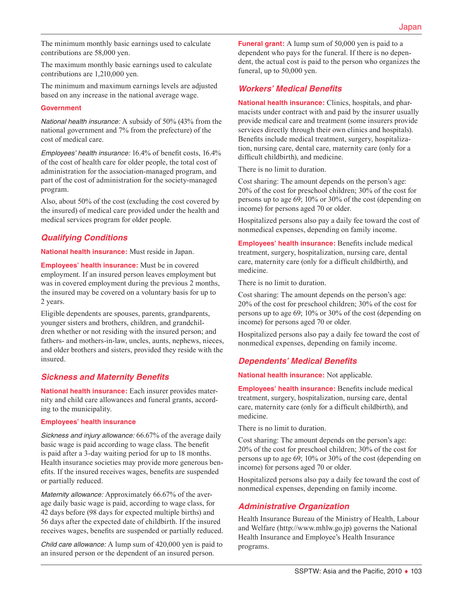The minimum monthly basic earnings used to calculate contributions are 58,000 yen.

The maximum monthly basic earnings used to calculate contributions are 1,210,000 yen.

The minimum and maximum earnings levels are adjusted based on any increase in the national average wage.

#### **Government**

*National health insurance:* A subsidy of 50% (43% from the national government and 7% from the prefecture) of the cost of medical care.

*Employees' health insurance:* 16.4% of benefit costs, 16.4% of the cost of health care for older people, the total cost of administration for the association-managed program, and part of the cost of administration for the society-managed program.

Also, about 50% of the cost (excluding the cost covered by the insured) of medical care provided under the health and medical services program for older people.

# *Qualifying Conditions*

**National health insurance:** Must reside in Japan.

**Employees' health insurance:** Must be in covered employment. If an insured person leaves employment but was in covered employment during the previous 2 months, the insured may be covered on a voluntary basis for up to 2 years.

Eligible dependents are spouses, parents, grandparents, younger sisters and brothers, children, and grandchildren whether or not residing with the insured person; and fathers- and mothers-in-law, uncles, aunts, nephews, nieces, and older brothers and sisters, provided they reside with the insured.

# *Sickness and Maternity Benefits*

**National health insurance:** Each insurer provides maternity and child care allowances and funeral grants, according to the municipality.

#### **Employees' health insurance**

*Sickness and injury allowance:* 66.67% of the average daily basic wage is paid according to wage class. The benefit is paid after a 3-day waiting period for up to 18 months. Health insurance societies may provide more generous benefits. If the insured receives wages, benefits are suspended or partially reduced.

*Maternity allowance:* Approximately 66.67% of the average daily basic wage is paid, according to wage class, for 42 days before (98 days for expected multiple births) and 56 days after the expected date of childbirth. If the insured receives wages, benefits are suspended or partially reduced.

*Child care allowance:* A lump sum of 420,000 yen is paid to an insured person or the dependent of an insured person.

**Funeral grant:** A lump sum of 50,000 yen is paid to a dependent who pays for the funeral. If there is no dependent, the actual cost is paid to the person who organizes the funeral, up to 50,000 yen.

# *Workers' Medical Benefits*

**National health insurance:** Clinics, hospitals, and pharmacists under contract with and paid by the insurer usually provide medical care and treatment (some insurers provide services directly through their own clinics and hospitals). Benefits include medical treatment, surgery, hospitalization, nursing care, dental care, maternity care (only for a difficult childbirth), and medicine.

There is no limit to duration.

Cost sharing: The amount depends on the person's age: 20% of the cost for preschool children; 30% of the cost for persons up to age 69; 10% or 30% of the cost (depending on income) for persons aged 70 or older.

Hospitalized persons also pay a daily fee toward the cost of nonmedical expenses, depending on family income.

**Employees' health insurance:** Benefits include medical treatment, surgery, hospitalization, nursing care, dental care, maternity care (only for a difficult childbirth), and medicine.

There is no limit to duration.

Cost sharing: The amount depends on the person's age: 20% of the cost for preschool children; 30% of the cost for persons up to age 69; 10% or 30% of the cost (depending on income) for persons aged 70 or older.

Hospitalized persons also pay a daily fee toward the cost of nonmedical expenses, depending on family income.

# *Dependents' Medical Benefits*

**National health insurance:** Not applicable.

**Employees' health insurance:** Benefits include medical treatment, surgery, hospitalization, nursing care, dental care, maternity care (only for a difficult childbirth), and medicine.

There is no limit to duration.

Cost sharing: The amount depends on the person's age: 20% of the cost for preschool children; 30% of the cost for persons up to age 69; 10% or 30% of the cost (depending on income) for persons aged 70 or older.

Hospitalized persons also pay a daily fee toward the cost of nonmedical expenses, depending on family income.

# *Administrative Organization*

Health Insurance Bureau of the Ministry of Health, Labour and Welfare ([http://www.mhlw.go.jp\)](http://www.mhlw.go.jp) governs the National Health Insurance and Employee's Health Insurance programs.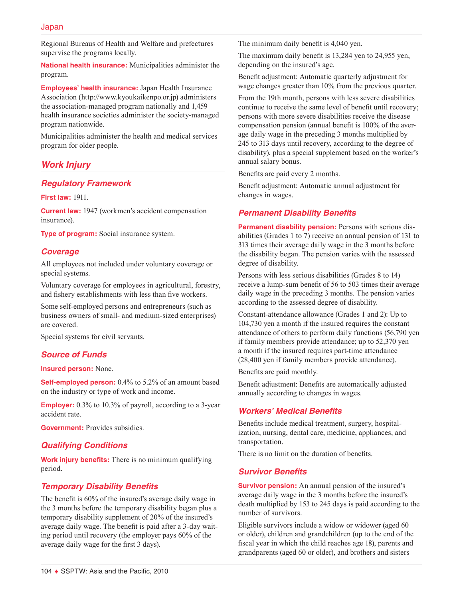Regional Bureaus of Health and Welfare and prefectures supervise the programs locally.

**National health insurance:** Municipalities administer the program.

**Employees' health insurance:** Japan Health Insurance Association (http://www.kyoukaikenpo.or.jp) administers the association-managed program nationally and 1,459 health insurance societies administer the society-managed program nationwide.

Municipalities administer the health and medical services program for older people.

# *Work Injury*

# *Regulatory Framework*

**First law:** 1911.

**Current law:** 1947 (workmen's accident compensation insurance).

**Type of program:** Social insurance system.

# *Coverage*

All employees not included under voluntary coverage or special systems.

Voluntary coverage for employees in agricultural, forestry, and fishery establishments with less than five workers.

Some self-employed persons and entrepreneurs (such as business owners of small- and medium-sized enterprises) are covered.

Special systems for civil servants.

# *Source of Funds*

#### **Insured person:** None.

**Self-employed person:** 0.4% to 5.2% of an amount based on the industry or type of work and income.

**Employer:** 0.3% to 10.3% of payroll, according to a 3-year accident rate.

**Government:** Provides subsidies.

# *Qualifying Conditions*

**Work injury benefits:** There is no minimum qualifying period.

# *Temporary Disability Benefits*

The benefit is 60% of the insured's average daily wage in the 3 months before the temporary disability began plus a temporary disability supplement of 20% of the insured's average daily wage. The benefit is paid after a 3-day waiting period until recovery (the employer pays 60% of the average daily wage for the first 3 days).

The minimum daily benefit is 4,040 yen.

The maximum daily benefit is 13,284 yen to 24,955 yen, depending on the insured's age.

Benefit adjustment: Automatic quarterly adjustment for wage changes greater than 10% from the previous quarter.

From the 19th month, persons with less severe disabilities continue to receive the same level of benefit until recovery; persons with more severe disabilities receive the disease compensation pension (annual benefit is 100% of the average daily wage in the preceding 3 months multiplied by 245 to 313 days until recovery, according to the degree of disability), plus a special supplement based on the worker's annual salary bonus.

Benefits are paid every 2 months.

Benefit adjustment: Automatic annual adjustment for changes in wages.

# *Permanent Disability Benefits*

**Permanent disability pension:** Persons with serious disabilities (Grades 1 to 7) receive an annual pension of 131 to 313 times their average daily wage in the 3 months before the disability began. The pension varies with the assessed degree of disability.

Persons with less serious disabilities (Grades 8 to 14) receive a lump-sum benefit of 56 to 503 times their average daily wage in the preceding 3 months. The pension varies according to the assessed degree of disability.

Constant-attendance allowance (Grades 1 and 2): Up to 104,730 yen a month if the insured requires the constant attendance of others to perform daily functions (56,790 yen if family members provide attendance; up to 52,370 yen a month if the insured requires part-time attendance (28,400 yen if family members provide attendance).

Benefits are paid monthly.

Benefit adjustment: Benefits are automatically adjusted annually according to changes in wages.

# *Workers' Medical Benefits*

Benefits include medical treatment, surgery, hospitalization, nursing, dental care, medicine, appliances, and transportation.

There is no limit on the duration of benefits.

# *Survivor Benefits*

**Survivor pension:** An annual pension of the insured's average daily wage in the 3 months before the insured's death multiplied by 153 to 245 days is paid according to the number of survivors.

Eligible survivors include a widow or widower (aged 60 or older), children and grandchildren (up to the end of the fiscal year in which the child reaches age 18), parents and grandparents (aged 60 or older), and brothers and sisters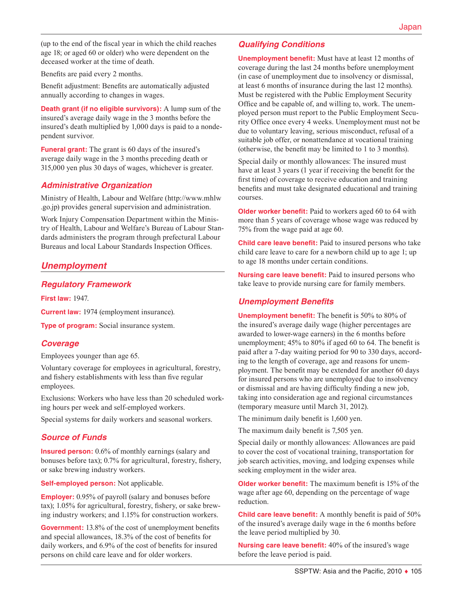(up to the end of the fiscal year in which the child reaches age 18; or aged 60 or older) who were dependent on the deceased worker at the time of death.

Benefits are paid every 2 months.

Benefit adjustment: Benefits are automatically adjusted annually according to changes in wages.

**Death grant (if no eligible survivors):** A lump sum of the insured's average daily wage in the 3 months before the insured's death multiplied by 1,000 days is paid to a nondependent survivor.

**Funeral grant:** The grant is 60 days of the insured's average daily wage in the 3 months preceding death or 315,000 yen plus 30 days of wages, whichever is greater.

# *Administrative Organization*

Ministry of Health, Labour and Welfare ([http://www.mhlw](http://www.mhlw.go.jp) [.go.jp](http://www.mhlw.go.jp)) provides general supervision and administration.

Work Injury Compensation Department within the Ministry of Health, Labour and Welfare's Bureau of Labour Standards administers the program through prefectural Labour Bureaus and local Labour Standards Inspection Offices.

# *Unemployment*

# *Regulatory Framework*

**First law:** 1947.

**Current law:** 1974 (employment insurance).

**Type of program:** Social insurance system.

# *Coverage*

Employees younger than age 65.

Voluntary coverage for employees in agricultural, forestry, and fishery establishments with less than five regular employees.

Exclusions: Workers who have less than 20 scheduled working hours per week and self-employed workers.

Special systems for daily workers and seasonal workers.

### *Source of Funds*

**Insured person:** 0.6% of monthly earnings (salary and bonuses before tax); 0.7% for agricultural, forestry, fishery, or sake brewing industry workers.

**Self-employed person:** Not applicable.

**Employer:** 0.95% of payroll (salary and bonuses before tax); 1.05% for agricultural, forestry, fishery, or sake brewing industry workers; and 1.15% for construction workers.

**Government:** 13.8% of the cost of unemployment benefits and special allowances, 18.3% of the cost of benefits for daily workers, and 6.9% of the cost of benefits for insured persons on child care leave and for older workers.

# *Qualifying Conditions*

**Unemployment benefit:** Must have at least 12 months of coverage during the last 24 months before unemployment (in case of unemployment due to insolvency or dismissal, at least 6 months of insurance during the last 12 months). Must be registered with the Public Employment Security Office and be capable of, and willing to, work. The unemployed person must report to the Public Employment Security Office once every 4 weeks. Unemployment must not be due to voluntary leaving, serious misconduct, refusal of a suitable job offer, or nonattendance at vocational training (otherwise, the benefit may be limited to 1 to 3 months).

Special daily or monthly allowances: The insured must have at least 3 years (1 year if receiving the benefit for the first time) of coverage to receive education and training benefits and must take designated educational and training courses.

**Older worker benefit:** Paid to workers aged 60 to 64 with more than 5 years of coverage whose wage was reduced by 75% from the wage paid at age 60.

**Child care leave benefit:** Paid to insured persons who take child care leave to care for a newborn child up to age 1; up to age 18 months under certain conditions.

**Nursing care leave benefit:** Paid to insured persons who take leave to provide nursing care for family members.

# *Unemployment Benefits*

**Unemployment benefit:** The benefit is 50% to 80% of the insured's average daily wage (higher percentages are awarded to lower-wage earners) in the 6 months before unemployment; 45% to 80% if aged 60 to 64. The benefit is paid after a 7-day waiting period for 90 to 330 days, according to the length of coverage, age and reasons for unemployment. The benefit may be extended for another 60 days for insured persons who are unemployed due to insolvency or dismissal and are having difficulty finding a new job, taking into consideration age and regional circumstances (temporary measure until March 31, 2012).

The minimum daily benefit is 1,600 yen.

The maximum daily benefit is 7,505 yen.

Special daily or monthly allowances: Allowances are paid to cover the cost of vocational training, transportation for job search activities, moving, and lodging expenses while seeking employment in the wider area.

**Older worker benefit:** The maximum benefit is 15% of the wage after age 60, depending on the percentage of wage reduction.

**Child care leave benefit:** A monthly benefit is paid of 50% of the insured's average daily wage in the 6 months before the leave period multiplied by 30.

**Nursing care leave benefit:** 40% of the insured's wage before the leave period is paid.